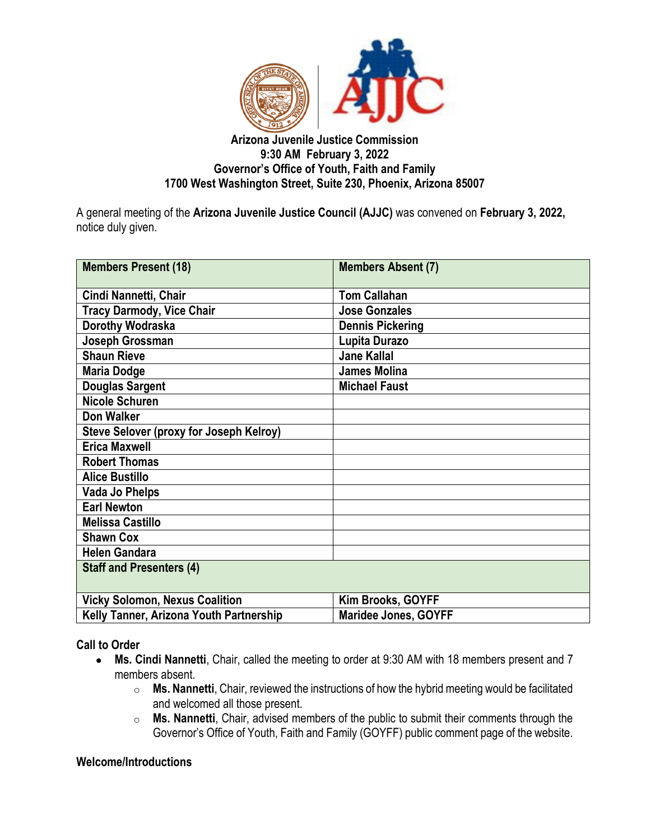

### **Arizona Juvenile Justice Commission 9:30 AM February 3, 2022 Governor's Office of Youth, Faith and Family 1700 West Washington Street, Suite 230, Phoenix, Arizona 85007**

A general meeting of the **Arizona Juvenile Justice Council (AJJC)** was convened on **February 3, 2022,**  notice duly given.

| <b>Members Present (18)</b>                    | <b>Members Absent (7)</b>   |
|------------------------------------------------|-----------------------------|
| Cindi Nannetti, Chair                          | <b>Tom Callahan</b>         |
| <b>Tracy Darmody, Vice Chair</b>               | <b>Jose Gonzales</b>        |
| Dorothy Wodraska                               | <b>Dennis Pickering</b>     |
| Joseph Grossman                                | Lupita Durazo               |
| <b>Shaun Rieve</b>                             | <b>Jane Kallal</b>          |
| <b>Maria Dodge</b>                             | <b>James Molina</b>         |
| <b>Douglas Sargent</b>                         | <b>Michael Faust</b>        |
| <b>Nicole Schuren</b>                          |                             |
| Don Walker                                     |                             |
| <b>Steve Selover (proxy for Joseph Kelroy)</b> |                             |
| <b>Erica Maxwell</b>                           |                             |
| <b>Robert Thomas</b>                           |                             |
| <b>Alice Bustillo</b>                          |                             |
| <b>Vada Jo Phelps</b>                          |                             |
| <b>Earl Newton</b>                             |                             |
| <b>Melissa Castillo</b>                        |                             |
| <b>Shawn Cox</b>                               |                             |
| <b>Helen Gandara</b>                           |                             |
| <b>Staff and Presenters (4)</b>                |                             |
| <b>Vicky Solomon, Nexus Coalition</b>          | Kim Brooks, GOYFF           |
| Kelly Tanner, Arizona Youth Partnership        | <b>Maridee Jones, GOYFF</b> |

**Call to Order**

- **Ms. Cindi Nannetti**, Chair, called the meeting to order at 9:30 AM with 18 members present and 7 members absent.
	- o **Ms. Nannetti**, Chair, reviewed the instructions of how the hybrid meeting would be facilitated and welcomed all those present.
	- o **Ms. Nannetti**, Chair, advised members of the public to submit their comments through the Governor's Office of Youth, Faith and Family (GOYFF) public comment page of the website.

### **Welcome/Introductions**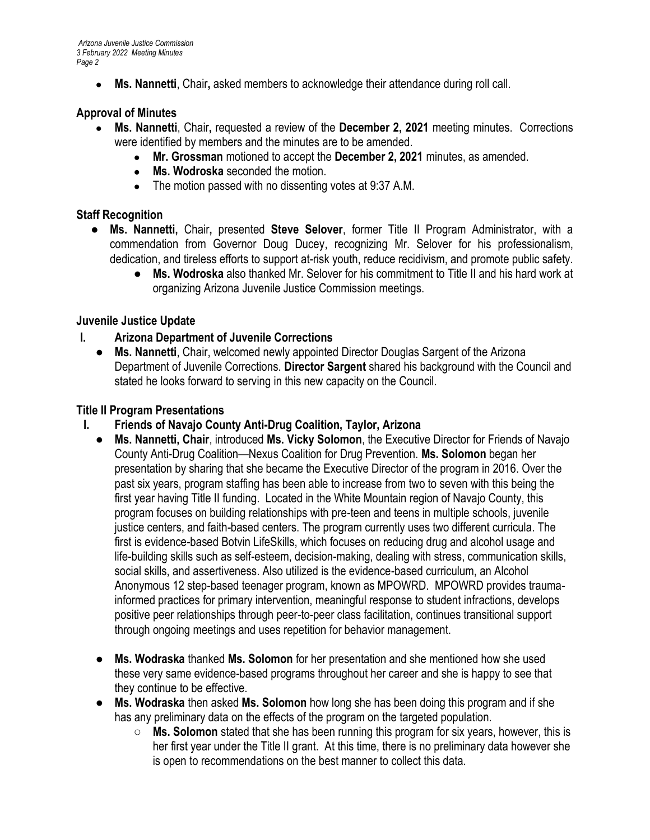*Arizona Juvenile Justice Commission 3 February 2022 Meeting Minutes Page 2*

● **Ms. Nannetti**, Chair**,** asked members to acknowledge their attendance during roll call.

### **Approval of Minutes**

- **Ms. Nannetti**, Chair**,** requested a review of the **December 2, 2021** meeting minutes. Corrections were identified by members and the minutes are to be amended.
	- **Mr. Grossman** motioned to accept the **December 2, 2021** minutes, as amended.
	- **Ms. Wodroska** seconded the motion.
	- The motion passed with no dissenting votes at 9:37 A.M.

## **Staff Recognition**

- **Ms. Nannetti,** Chair**,** presented **Steve Selover**, former Title II Program Administrator, with a commendation from Governor Doug Ducey, recognizing Mr. Selover for his professionalism, dedication, and tireless efforts to support at-risk youth, reduce recidivism, and promote public safety.
	- **Ms. Wodroska** also thanked Mr. Selover for his commitment to Title II and his hard work at organizing Arizona Juvenile Justice Commission meetings.

### **Juvenile Justice Update**

## **I. Arizona Department of Juvenile Corrections**

● **Ms. Nannetti**, Chair, welcomed newly appointed Director Douglas Sargent of the Arizona Department of Juvenile Corrections. **Director Sargent** shared his background with the Council and stated he looks forward to serving in this new capacity on the Council.

### **Title II Program Presentations**

- **I. Friends of Navajo County Anti-Drug Coalition, Taylor, Arizona**
	- **Ms. Nannetti, Chair**, introduced **Ms. Vicky Solomon**, the Executive Director for Friends of Navajo County Anti-Drug Coalition—Nexus Coalition for Drug Prevention. **Ms. Solomon** began her presentation by sharing that she became the Executive Director of the program in 2016. Over the past six years, program staffing has been able to increase from two to seven with this being the first year having Title II funding. Located in the White Mountain region of Navajo County, this program focuses on building relationships with pre-teen and teens in multiple schools, juvenile justice centers, and faith-based centers. The program currently uses two different curricula. The first is evidence-based Botvin LifeSkills, which focuses on reducing drug and alcohol usage and life-building skills such as self-esteem, decision-making, dealing with stress, communication skills, social skills, and assertiveness. Also utilized is the evidence-based curriculum, an Alcohol Anonymous 12 step-based teenager program, known as MPOWRD. MPOWRD provides traumainformed practices for primary intervention, meaningful response to student infractions, develops positive peer relationships through peer-to-peer class facilitation, continues transitional support through ongoing meetings and uses repetition for behavior management.
	- **Ms. Wodraska** thanked **Ms. Solomon** for her presentation and she mentioned how she used these very same evidence-based programs throughout her career and she is happy to see that they continue to be effective.
	- **Ms. Wodraska** then asked **Ms. Solomon** how long she has been doing this program and if she has any preliminary data on the effects of the program on the targeted population.
		- **Ms. Solomon** stated that she has been running this program for six years, however, this is her first year under the Title II grant. At this time, there is no preliminary data however she is open to recommendations on the best manner to collect this data.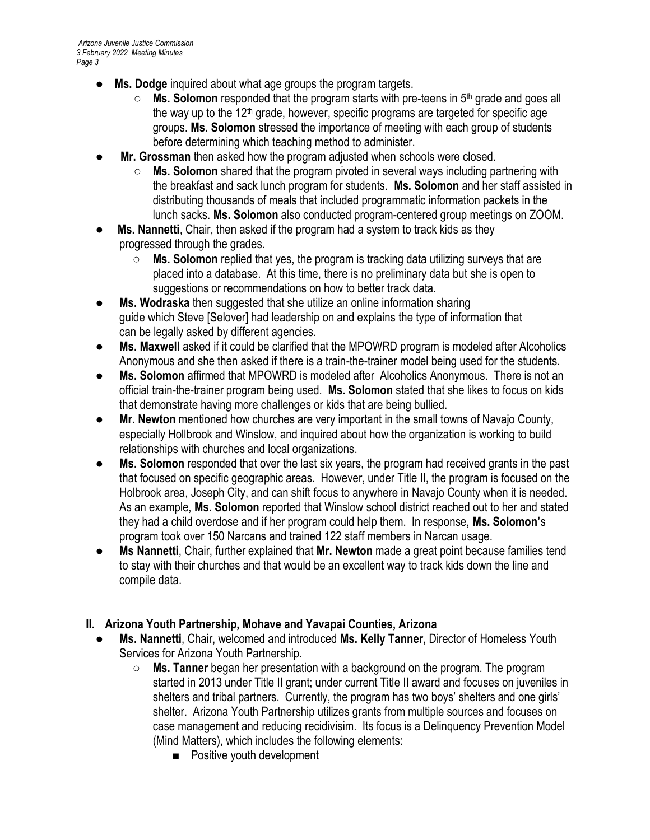- **Ms. Dodge** inquired about what age groups the program targets.
	- **Ms. Solomon** responded that the program starts with pre-teens in 5th grade and goes all the way up to the  $12<sup>th</sup>$  grade, however, specific programs are targeted for specific age groups. **Ms. Solomon** stressed the importance of meeting with each group of students before determining which teaching method to administer.
- **Mr. Grossman** then asked how the program adjusted when schools were closed.
	- **Ms. Solomon** shared that the program pivoted in several ways including partnering with the breakfast and sack lunch program for students. **Ms. Solomon** and her staff assisted in distributing thousands of meals that included programmatic information packets in the lunch sacks. **Ms. Solomon** also conducted program-centered group meetings on ZOOM.
- **Ms. Nannetti**, Chair, then asked if the program had a system to track kids as they progressed through the grades.
	- **Ms. Solomon** replied that yes, the program is tracking data utilizing surveys that are placed into a database. At this time, there is no preliminary data but she is open to suggestions or recommendations on how to better track data.
- **Ms. Wodraska** then suggested that she utilize an online information sharing guide which Steve [Selover] had leadership on and explains the type of information that can be legally asked by different agencies.
- **Ms. Maxwell** asked if it could be clarified that the MPOWRD program is modeled after Alcoholics Anonymous and she then asked if there is a train-the-trainer model being used for the students.
- **Ms. Solomon** affirmed that MPOWRD is modeled after Alcoholics Anonymous. There is not an official train-the-trainer program being used. **Ms. Solomon** stated that she likes to focus on kids that demonstrate having more challenges or kids that are being bullied.
- **Mr. Newton** mentioned how churches are very important in the small towns of Navajo County, especially Hollbrook and Winslow, and inquired about how the organization is working to build relationships with churches and local organizations.
- **Ms. Solomon** responded that over the last six years, the program had received grants in the past that focused on specific geographic areas. However, under Title II, the program is focused on the Holbrook area, Joseph City, and can shift focus to anywhere in Navajo County when it is needed. As an example, **Ms. Solomon** reported that Winslow school district reached out to her and stated they had a child overdose and if her program could help them. In response, **Ms. Solomon'**s program took over 150 Narcans and trained 122 staff members in Narcan usage.
- **Ms Nannetti**, Chair, further explained that **Mr. Newton** made a great point because families tend to stay with their churches and that would be an excellent way to track kids down the line and compile data.

# **II. Arizona Youth Partnership, Mohave and Yavapai Counties, Arizona**

- **Ms. Nannetti**, Chair, welcomed and introduced **Ms. Kelly Tanner**, Director of Homeless Youth Services for Arizona Youth Partnership.
	- **Ms. Tanner** began her presentation with a background on the program. The program started in 2013 under Title II grant; under current Title II award and focuses on juveniles in shelters and tribal partners. Currently, the program has two boys' shelters and one girls' shelter. Arizona Youth Partnership utilizes grants from multiple sources and focuses on case management and reducing recidivisim. Its focus is a Delinquency Prevention Model (Mind Matters), which includes the following elements:
		- Positive youth development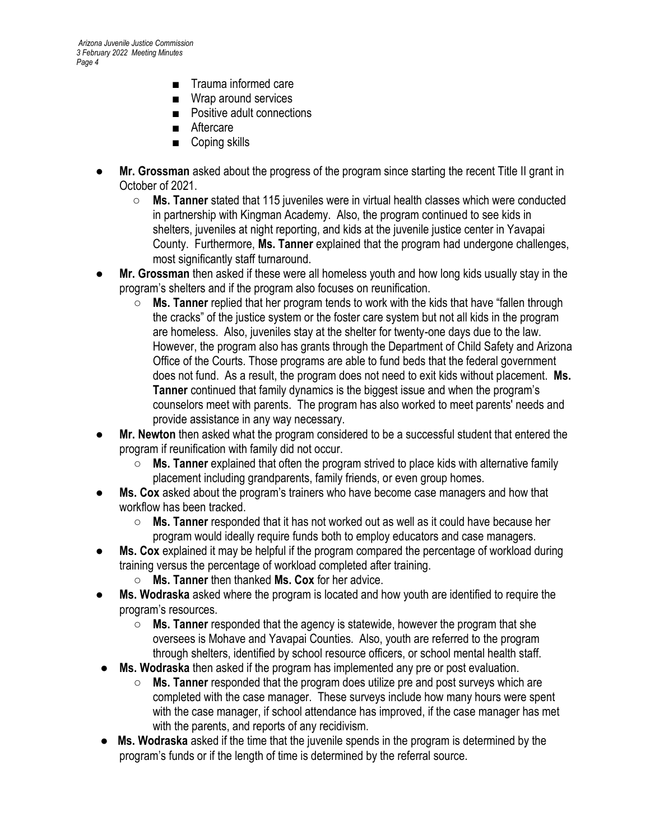- Trauma informed care
- Wrap around services
- Positive adult connections
- Aftercare
- Coping skills
- **Mr. Grossman** asked about the progress of the program since starting the recent Title II grant in October of 2021.
	- **Ms. Tanner** stated that 115 juveniles were in virtual health classes which were conducted in partnership with Kingman Academy. Also, the program continued to see kids in shelters, juveniles at night reporting, and kids at the juvenile justice center in Yavapai County. Furthermore, **Ms. Tanner** explained that the program had undergone challenges, most significantly staff turnaround.
- **Mr. Grossman** then asked if these were all homeless youth and how long kids usually stay in the program's shelters and if the program also focuses on reunification.
	- **Ms. Tanner** replied that her program tends to work with the kids that have "fallen through the cracks" of the justice system or the foster care system but not all kids in the program are homeless. Also, juveniles stay at the shelter for twenty-one days due to the law. However, the program also has grants through the Department of Child Safety and Arizona Office of the Courts. Those programs are able to fund beds that the federal government does not fund. As a result, the program does not need to exit kids without placement. **Ms. Tanner** continued that family dynamics is the biggest issue and when the program's counselors meet with parents. The program has also worked to meet parents' needs and provide assistance in any way necessary.
- **Mr. Newton** then asked what the program considered to be a successful student that entered the program if reunification with family did not occur.
	- **Ms. Tanner** explained that often the program strived to place kids with alternative family placement including grandparents, family friends, or even group homes.
- **Ms. Cox** asked about the program's trainers who have become case managers and how that workflow has been tracked.
	- **Ms. Tanner** responded that it has not worked out as well as it could have because her program would ideally require funds both to employ educators and case managers.
- **Ms. Cox** explained it may be helpful if the program compared the percentage of workload during training versus the percentage of workload completed after training.
	- **Ms. Tanner** then thanked **Ms. Cox** for her advice.
- **Ms. Wodraska** asked where the program is located and how youth are identified to require the program's resources.
	- **Ms. Tanner** responded that the agency is statewide, however the program that she oversees is Mohave and Yavapai Counties. Also, youth are referred to the program through shelters, identified by school resource officers, or school mental health staff.
- **Ms. Wodraska** then asked if the program has implemented any pre or post evaluation.
	- **Ms. Tanner** responded that the program does utilize pre and post surveys which are completed with the case manager. These surveys include how many hours were spent with the case manager, if school attendance has improved, if the case manager has met with the parents, and reports of any recidivism.
- **Ms. Wodraska** asked if the time that the juvenile spends in the program is determined by the program's funds or if the length of time is determined by the referral source.